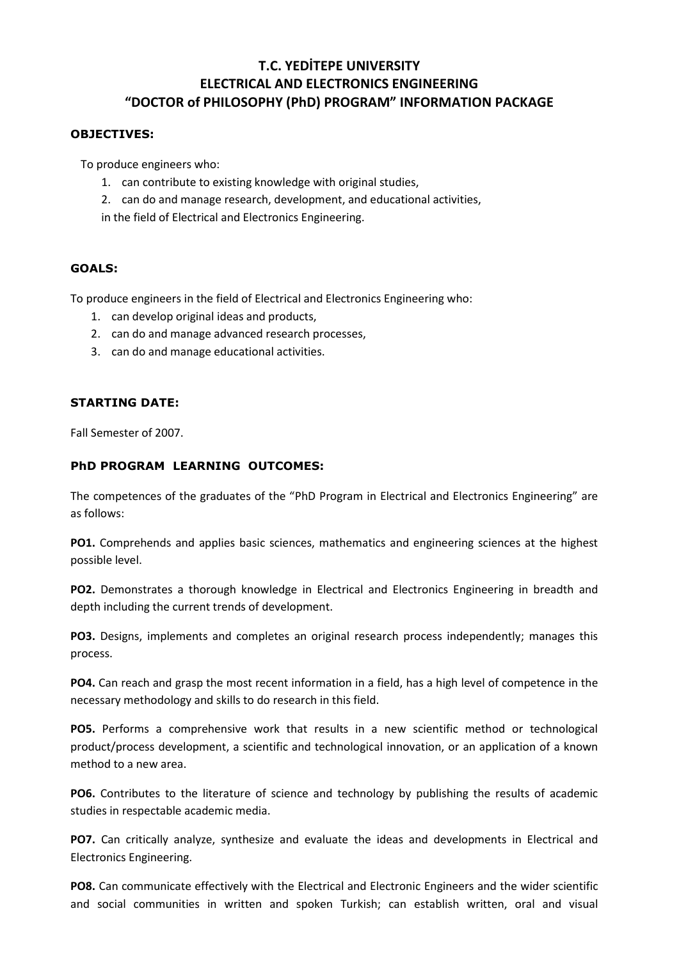# **T.C. YEDİTEPE UNIVERSITY ELECTRICAL AND ELECTRONICS ENGINEERING "DOCTOR of PHILOSOPHY (PhD) PROGRAM" INFORMATION PACKAGE**

#### **OBJECTIVES:**

To produce engineers who:

- 1. can contribute to existing knowledge with original studies,
- 2. can do and manage research, development, and educational activities,

in the field of Electrical and Electronics Engineering.

#### **GOALS:**

To produce engineers in the field of Electrical and Electronics Engineering who:

- 1. can develop original ideas and products,
- 2. can do and manage advanced research processes,
- 3. can do and manage educational activities.

# **STARTING DATE:**

Fall Semester of 2007.

## **PhD PROGRAM LEARNING OUTCOMES:**

The competences of the graduates of the "PhD Program in Electrical and Electronics Engineering" are as follows:

**PO1.** Comprehends and applies basic sciences, mathematics and engineering sciences at the highest possible level.

**PO2.** Demonstrates a thorough knowledge in Electrical and Electronics Engineering in breadth and depth including the current trends of development.

**PO3.** Designs, implements and completes an original research process independently; manages this process.

**PO4.** Can reach and grasp the most recent information in a field, has a high level of competence in the necessary methodology and skills to do research in this field.

**PO5.** Performs a comprehensive work that results in a new scientific method or technological product/process development, a scientific and technological innovation, or an application of a known method to a new area.

**PO6.** Contributes to the literature of science and technology by publishing the results of academic studies in respectable academic media.

**PO7.** Can critically analyze, synthesize and evaluate the ideas and developments in Electrical and Electronics Engineering.

**PO8.** Can communicate effectively with the Electrical and Electronic Engineers and the wider scientific and social communities in written and spoken Turkish; can establish written, oral and visual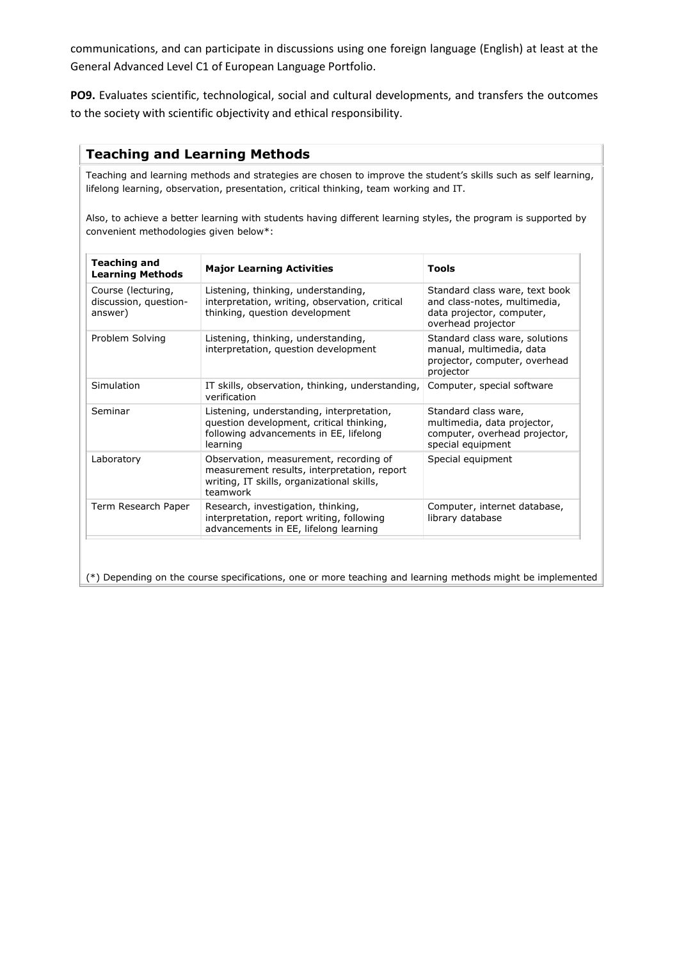communications, and can participate in discussions using one foreign language (English) at least at the General Advanced Level C1 of European Language Portfolio.

**PO9.** Evaluates scientific, technological, social and cultural developments, and transfers the outcomes to the society with scientific objectivity and ethical responsibility.

### **Teaching and Learning Methods**

Teaching and learning methods and strategies are chosen to improve the student's skills such as self learning, lifelong learning, observation, presentation, critical thinking, team working and IT.

Also, to achieve a better learning with students having different learning styles, the program is supported by convenient methodologies given below\*:

| <b>Teaching and</b><br><b>Learning Methods</b>         | <b>Major Learning Activities</b>                                                                                                                | Tools                                                                                                             |
|--------------------------------------------------------|-------------------------------------------------------------------------------------------------------------------------------------------------|-------------------------------------------------------------------------------------------------------------------|
| Course (lecturing,<br>discussion, question-<br>answer) | Listening, thinking, understanding,<br>interpretation, writing, observation, critical<br>thinking, question development                         | Standard class ware, text book<br>and class-notes, multimedia,<br>data projector, computer,<br>overhead projector |
| Problem Solving                                        | Listening, thinking, understanding,<br>interpretation, question development                                                                     | Standard class ware, solutions<br>manual, multimedia, data<br>projector, computer, overhead<br>projector          |
| Simulation                                             | IT skills, observation, thinking, understanding,<br>verification                                                                                | Computer, special software                                                                                        |
| Seminar                                                | Listening, understanding, interpretation,<br>question development, critical thinking,<br>following advancements in EE, lifelong<br>learning     | Standard class ware,<br>multimedia, data projector,<br>computer, overhead projector,<br>special equipment         |
| Laboratory                                             | Observation, measurement, recording of<br>measurement results, interpretation, report<br>writing, IT skills, organizational skills,<br>teamwork | Special equipment                                                                                                 |
| Term Research Paper                                    | Research, investigation, thinking,<br>interpretation, report writing, following<br>advancements in EE, lifelong learning                        | Computer, internet database,<br>library database                                                                  |

(\*) Depending on the course specifications, one or more teaching and learning methods might be implemented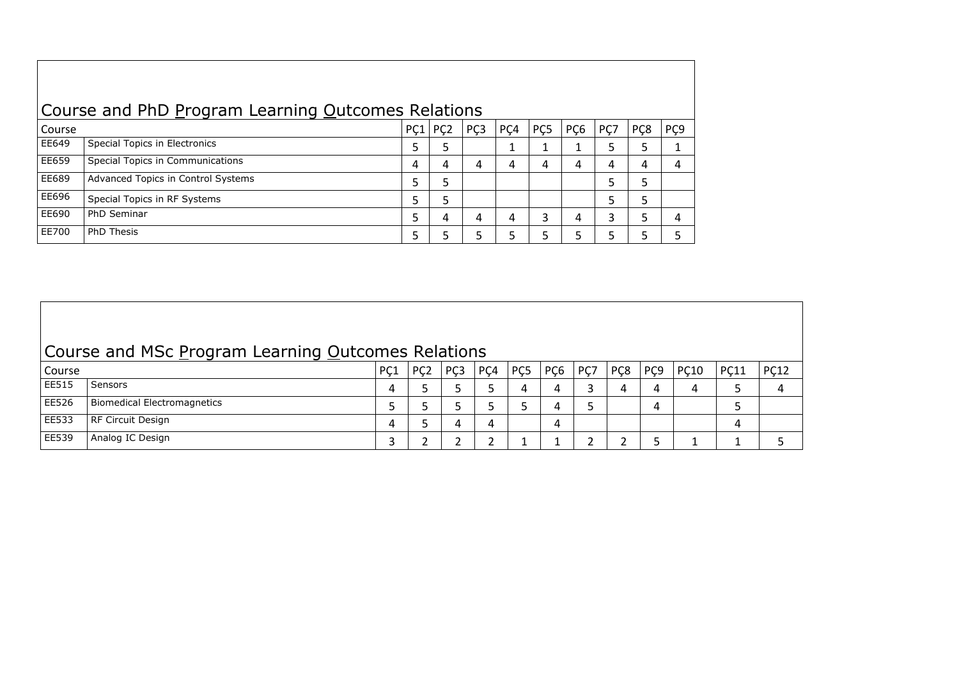| Course and PhD Program Learning Outcomes Relations |                                    |     |                  |     |                 |                 |                 |     |                  |     |
|----------------------------------------------------|------------------------------------|-----|------------------|-----|-----------------|-----------------|-----------------|-----|------------------|-----|
| Course                                             |                                    | PC1 | P <sub>C</sub> 2 | PÇ3 | PC <sub>4</sub> | PC <sub>5</sub> | PC <sub>6</sub> | PC7 | P <sub>C</sub> 8 | PÇ9 |
| EE649                                              | Special Topics in Electronics      | 5   | 5                |     |                 |                 |                 |     |                  |     |
| EE659                                              | Special Topics in Communications   | 4   | 4                | 4   | 4               | 4               | 4               | 4   |                  | 4   |
| EE689                                              | Advanced Topics in Control Systems | 5   | 5                |     |                 |                 |                 |     |                  |     |
| EE696                                              | Special Topics in RF Systems       | 5   | 5                |     |                 |                 |                 |     |                  |     |
| EE690                                              | PhD Seminar                        | 5   | 4                | 4   | 4               |                 | 4               | 3   |                  | 4   |
| EE700                                              | <b>PhD Thesis</b>                  | ר   | 5                |     | 5               |                 |                 |     |                  |     |

| Course and MSc Program Learning Outcomes Relations |                                    |     |                  |                 |                 |                 |                 |     |                  |     |             |             |             |
|----------------------------------------------------|------------------------------------|-----|------------------|-----------------|-----------------|-----------------|-----------------|-----|------------------|-----|-------------|-------------|-------------|
| Course                                             |                                    | PC1 | P <sub>C</sub> 2 | PC <sub>3</sub> | PC <sub>4</sub> | PC <sub>5</sub> | PC <sub>6</sub> | PC7 | P <sub>C</sub> 8 | PÇ9 | <b>PC10</b> | <b>PC11</b> | <b>PC12</b> |
| EE515                                              | Sensors                            | 4   |                  |                 |                 |                 | 4               |     |                  | 4   |             |             |             |
| EE526                                              | <b>Biomedical Electromagnetics</b> |     |                  |                 |                 |                 | 4               |     |                  | 4   |             |             |             |
| EE533                                              | RF Circuit Design                  | 4   |                  |                 | 4               |                 | 4               |     |                  |     |             | 4           |             |
| EE539                                              | Analog IC Design                   |     |                  |                 |                 |                 |                 |     |                  |     |             |             |             |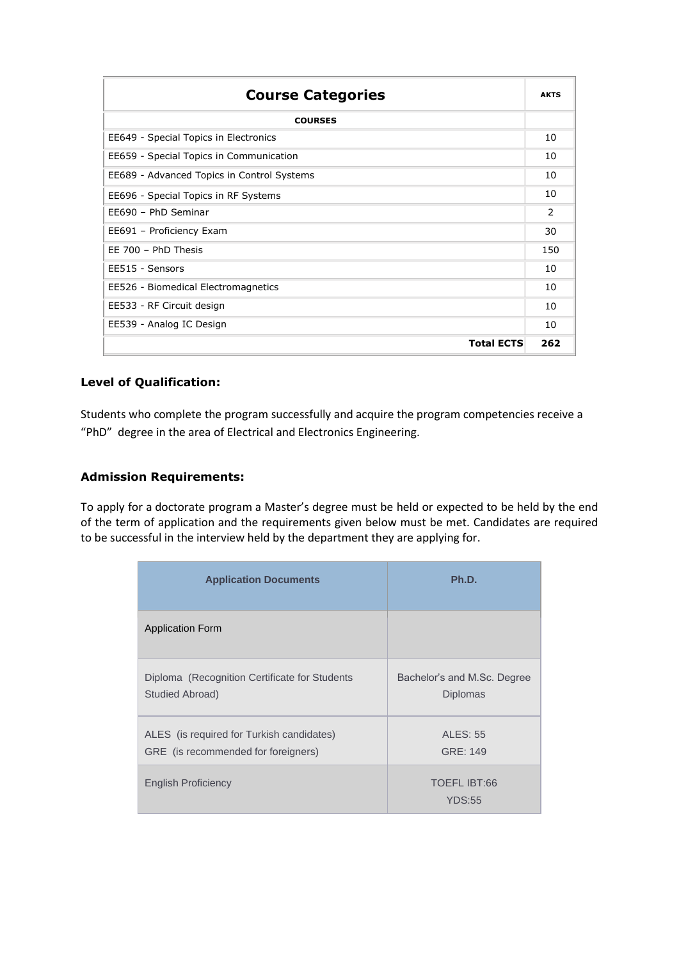| <b>Course Categories</b>                   | <b>AKTS</b> |  |  |  |
|--------------------------------------------|-------------|--|--|--|
| <b>COURSES</b>                             |             |  |  |  |
| EE649 - Special Topics in Electronics      | 10          |  |  |  |
| EE659 - Special Topics in Communication    |             |  |  |  |
| EE689 - Advanced Topics in Control Systems | 10          |  |  |  |
| EE696 - Special Topics in RF Systems       |             |  |  |  |
| EE690 - PhD Seminar                        |             |  |  |  |
| EE691 - Proficiency Exam                   |             |  |  |  |
| EE 700 - PhD Thesis                        | 150         |  |  |  |
| EE515 - Sensors                            | 10          |  |  |  |
| EE526 - Biomedical Electromagnetics        | 10          |  |  |  |
| EE533 - RF Circuit design                  |             |  |  |  |
| EE539 - Analog IC Design                   | 10          |  |  |  |
| <b>Total ECTS</b>                          | 262         |  |  |  |

# **Level of Qualification:**

Students who complete the program successfully and acquire the program competencies receive a "PhD" degree in the area of Electrical and Electronics Engineering.

#### **Admission Requirements:**

To apply for a doctorate program a Master's degree must be held or expected to be held by the end of the term of application and the requirements given below must be met. Candidates are required to be successful in the interview held by the department they are applying for.

| <b>Application Documents</b>                                                     | Ph.D.                                          |  |  |  |  |  |
|----------------------------------------------------------------------------------|------------------------------------------------|--|--|--|--|--|
| <b>Application Form</b>                                                          |                                                |  |  |  |  |  |
| Diploma (Recognition Certificate for Students<br>Studied Abroad)                 | Bachelor's and M.Sc. Degree<br><b>Diplomas</b> |  |  |  |  |  |
| ALES (is required for Turkish candidates)<br>GRE (is recommended for foreigners) | <b>ALES: 55</b><br>GRE: 149                    |  |  |  |  |  |
| <b>English Proficiency</b>                                                       | TOEFL IBT:66<br><b>YDS:55</b>                  |  |  |  |  |  |